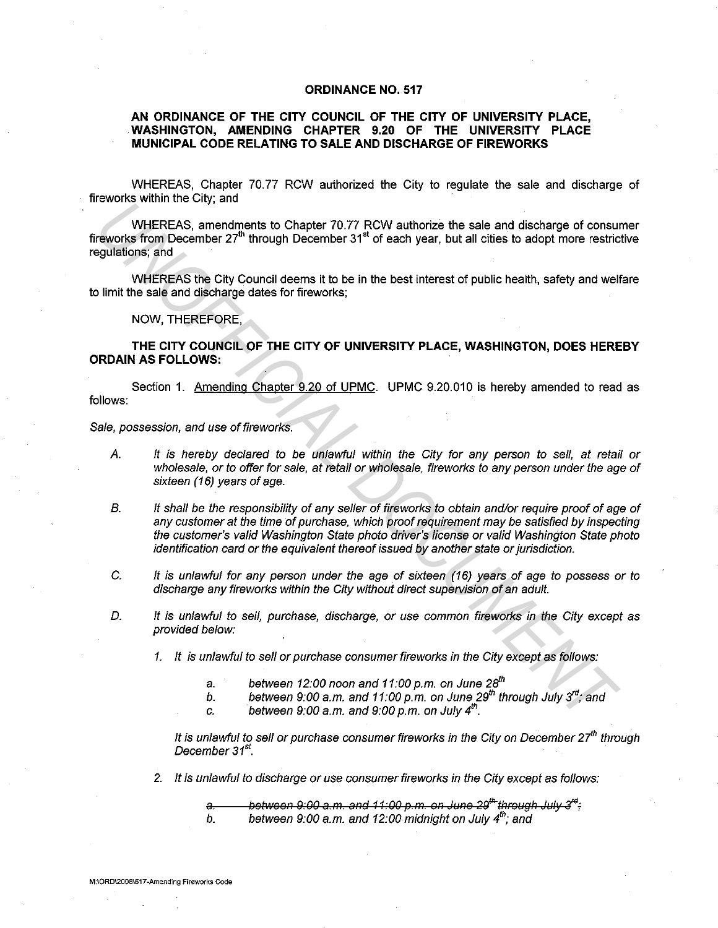## **ORDINANCE NO. 517**

## **AN ORDINANCE OF THE CITY COUNCIL OF THE CITY OF UNIVERSITY PLACE, WASHINGTON, AMENDING CHAPTER 9.20 OF THE UNIVERSITY PLACE MUNICIPAL CODE RELATING TO SALE AND DISCHARGE OF FIREWORKS**

WHEREAS, Chapter 70.77 RCW authorized the City to regulate the sale and discharge of fireworks within the City; and

WHEREAS, amendments to Chapter 70.77 RCW authorize the sale and discharge of consumer fireworks from December 27'" through December 31" of each year, but all cities to adopt more restrictive regulations; and

WHEREAS the City Council deems it to be in the best interest of public health, safety and welfare to limit the sale and discharge dates for fireworks;

NOW, THEREFORE,

**THE CITY COUNCIL OF THE CITY OF UNIVERSITY PLACE, WASHINGTON, DOES HEREBY ORDAIN AS FOLLOWS:** 

Section 1. Amending Chapter 9.20 of UPMC. UPMC 9.20.010 is hereby amended to read as follows:

Sale, possession, and use of fireworks.

- A. It is hereby declared to be unlawful within the City for any person to sell, at retail or wholesale, or to offer for sale, at retail or wholesale, fireworks to any person under the age of sixteen (16) years of age.
- B. It shall be the responsibility of any seller of fireworks to obtain and/or require proof of age of any customer at the time of purchase, which proof requirement may be satisfied by inspecting the customer's valid Washington State photo driver's license or valid Washington State photo identification card or the equivalent thereof issued by another state or jurisdiction. **UNHEREAS, amendments to Chapter 70.77 RCW authorize the sale and discharge of consure<br>works from December 27<sup>9</sup> through December 31<sup>4</sup> of each year, but all cities to adopt more restrictions;<br>and the substantine and inter** 
	- C. It is unlawful for any person under the age of sixteen (16) years of age to possess or to discharge any fireworks within the City without direct supervision of an adult.
	- D. It is unlawful to sell, purchase, discharge, or use common fireworks in the City except as provided below:
		- 1. It is unlawful to sell or purchase consumer fireworks in the City except as follows:
			- a. between *12:00* noon and *11 :00* p.m. on June *2fl"*
			- b. between *9:00* a.m. and *11:00* p.m. on June *29'"* through July *3"1;* and
			- c. between  $9.00$  a.m. and  $9.00$  p.m. on July  $4<sup>th</sup>$ .

It is unlawful to sell or purchase consumer fireworks in the City on December  $27<sup>th</sup>$  through December 31<sup>st</sup>.

2. It is unlawful to discharge or use consumer fireworks in the City except as follows:

a. lettheon 9:00 a.m. and 11:00 p.m. on June 29<sup>th</sup> through July 3<sup>rd</sup> : b. between 9:00 a.m. and 12:00 midnight on July 4<sup>th</sup>; and